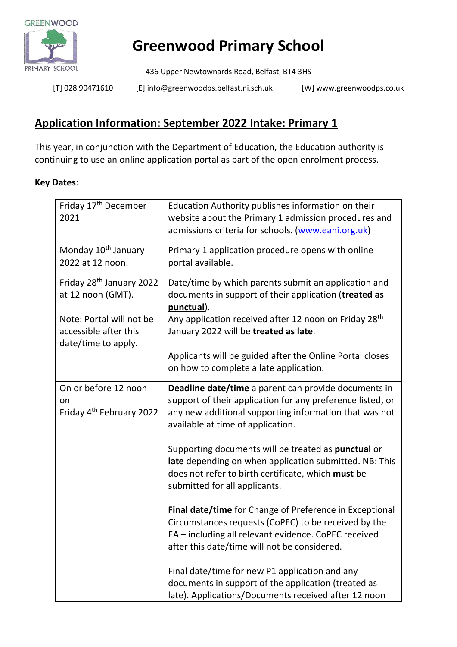

## **Greenwood Primary School**

436 Upper Newtownards Road, Belfast, BT4 3HS

[T] 028 90471610 [E[\] info@greenwoodps.belfast.ni.sch.uk](mailto:info@greenwoodps.belfast.ni.sch.uk) [W] [www.greenwoodps.co.uk](http://www.greenwoodps.co.uk/)

## **Application Information: September 2022 Intake: Primary 1**

This year, in conjunction with the Department of Education, the Education authority is continuing to use an online application portal as part of the open enrolment process.

## **Key Dates**:

| Friday 17 <sup>th</sup> December<br>2021                                 | Education Authority publishes information on their<br>website about the Primary 1 admission procedures and<br>admissions criteria for schools. (www.eani.org.uk)                                                         |
|--------------------------------------------------------------------------|--------------------------------------------------------------------------------------------------------------------------------------------------------------------------------------------------------------------------|
| Monday 10 <sup>th</sup> January<br>2022 at 12 noon.                      | Primary 1 application procedure opens with online<br>portal available.                                                                                                                                                   |
| Friday 28 <sup>th</sup> January 2022<br>at 12 noon (GMT).                | Date/time by which parents submit an application and<br>documents in support of their application (treated as<br>punctual).                                                                                              |
| Note: Portal will not be<br>accessible after this<br>date/time to apply. | Any application received after 12 noon on Friday 28 <sup>th</sup><br>January 2022 will be treated as late.                                                                                                               |
|                                                                          | Applicants will be guided after the Online Portal closes<br>on how to complete a late application.                                                                                                                       |
| On or before 12 noon<br>on<br>Friday 4 <sup>th</sup> February 2022       | <b>Deadline date/time</b> a parent can provide documents in<br>support of their application for any preference listed, or<br>any new additional supporting information that was not<br>available at time of application. |
|                                                                          | Supporting documents will be treated as punctual or<br>late depending on when application submitted. NB: This<br>does not refer to birth certificate, which must be<br>submitted for all applicants.                     |
|                                                                          | Final date/time for Change of Preference in Exceptional<br>Circumstances requests (CoPEC) to be received by the<br>EA - including all relevant evidence. CoPEC received<br>after this date/time will not be considered.  |
|                                                                          | Final date/time for new P1 application and any<br>documents in support of the application (treated as<br>late). Applications/Documents received after 12 noon                                                            |